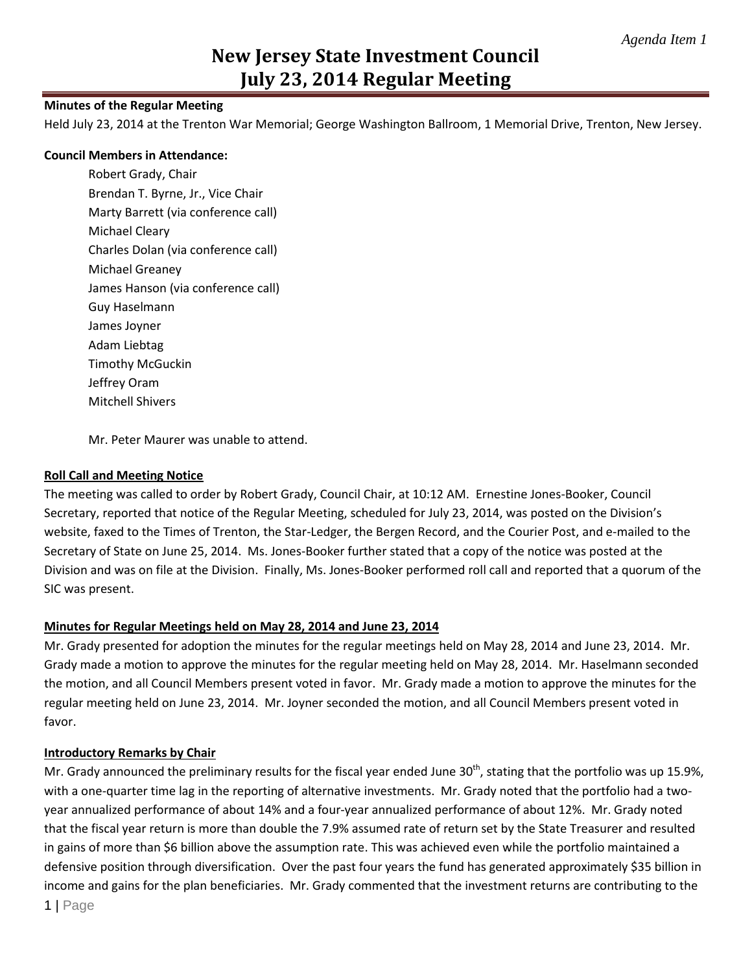# **New Jersey State Investment Council July 23, 2014 Regular Meeting**

### **Minutes of the Regular Meeting**

Held July 23, 2014 at the Trenton War Memorial; George Washington Ballroom, 1 Memorial Drive, Trenton, New Jersey.

#### **Council Members in Attendance:**

Robert Grady, Chair Brendan T. Byrne, Jr., Vice Chair Marty Barrett (via conference call) Michael Cleary Charles Dolan (via conference call) Michael Greaney James Hanson (via conference call) Guy Haselmann James Joyner Adam Liebtag Timothy McGuckin Jeffrey Oram Mitchell Shivers

Mr. Peter Maurer was unable to attend.

### **Roll Call and Meeting Notice**

The meeting was called to order by Robert Grady, Council Chair, at 10:12 AM. Ernestine Jones-Booker, Council Secretary, reported that notice of the Regular Meeting, scheduled for July 23, 2014, was posted on the Division's website, faxed to the Times of Trenton, the Star-Ledger, the Bergen Record, and the Courier Post, and e-mailed to the Secretary of State on June 25, 2014. Ms. Jones-Booker further stated that a copy of the notice was posted at the Division and was on file at the Division. Finally, Ms. Jones-Booker performed roll call and reported that a quorum of the SIC was present.

## **Minutes for Regular Meetings held on May 28, 2014 and June 23, 2014**

Mr. Grady presented for adoption the minutes for the regular meetings held on May 28, 2014 and June 23, 2014. Mr. Grady made a motion to approve the minutes for the regular meeting held on May 28, 2014. Mr. Haselmann seconded the motion, and all Council Members present voted in favor. Mr. Grady made a motion to approve the minutes for the regular meeting held on June 23, 2014. Mr. Joyner seconded the motion, and all Council Members present voted in favor.

#### **Introductory Remarks by Chair**

1 | Page Mr. Grady announced the preliminary results for the fiscal year ended June  $30<sup>th</sup>$ , stating that the portfolio was up 15.9%, with a one-quarter time lag in the reporting of alternative investments. Mr. Grady noted that the portfolio had a twoyear annualized performance of about 14% and a four-year annualized performance of about 12%. Mr. Grady noted that the fiscal year return is more than double the 7.9% assumed rate of return set by the State Treasurer and resulted in gains of more than \$6 billion above the assumption rate. This was achieved even while the portfolio maintained a defensive position through diversification. Over the past four years the fund has generated approximately \$35 billion in income and gains for the plan beneficiaries. Mr. Grady commented that the investment returns are contributing to the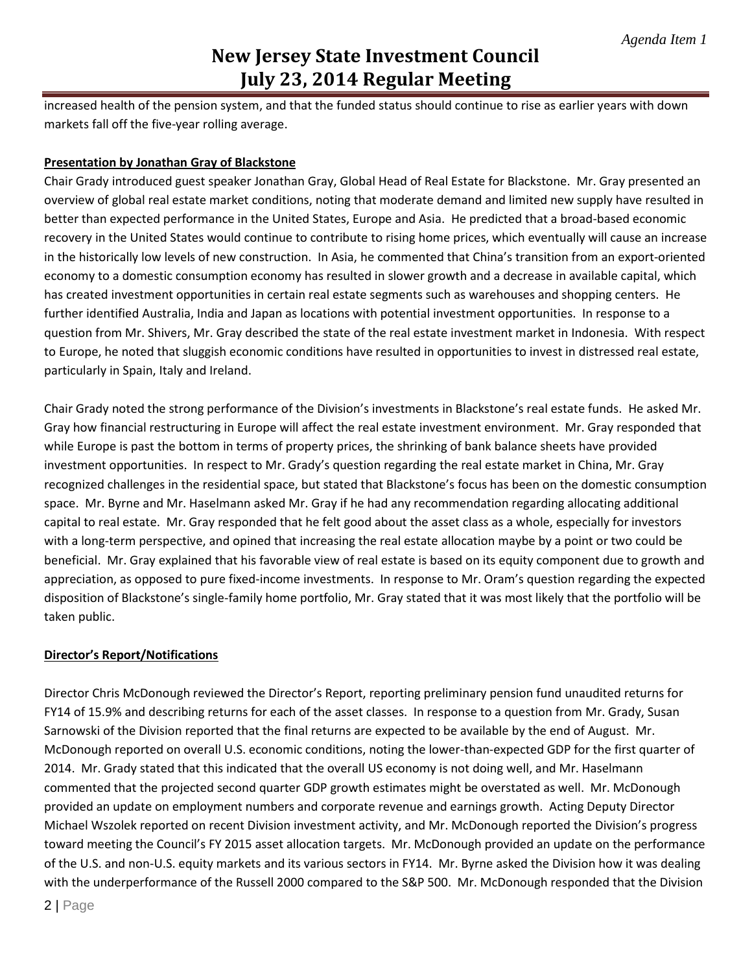# **New Jersey State Investment Council July 23, 2014 Regular Meeting**

increased health of the pension system, and that the funded status should continue to rise as earlier years with down markets fall off the five-year rolling average.

## **Presentation by Jonathan Gray of Blackstone**

Chair Grady introduced guest speaker Jonathan Gray, Global Head of Real Estate for Blackstone. Mr. Gray presented an overview of global real estate market conditions, noting that moderate demand and limited new supply have resulted in better than expected performance in the United States, Europe and Asia. He predicted that a broad-based economic recovery in the United States would continue to contribute to rising home prices, which eventually will cause an increase in the historically low levels of new construction. In Asia, he commented that China's transition from an export-oriented economy to a domestic consumption economy has resulted in slower growth and a decrease in available capital, which has created investment opportunities in certain real estate segments such as warehouses and shopping centers. He further identified Australia, India and Japan as locations with potential investment opportunities. In response to a question from Mr. Shivers, Mr. Gray described the state of the real estate investment market in Indonesia. With respect to Europe, he noted that sluggish economic conditions have resulted in opportunities to invest in distressed real estate, particularly in Spain, Italy and Ireland.

Chair Grady noted the strong performance of the Division's investments in Blackstone's real estate funds. He asked Mr. Gray how financial restructuring in Europe will affect the real estate investment environment. Mr. Gray responded that while Europe is past the bottom in terms of property prices, the shrinking of bank balance sheets have provided investment opportunities. In respect to Mr. Grady's question regarding the real estate market in China, Mr. Gray recognized challenges in the residential space, but stated that Blackstone's focus has been on the domestic consumption space. Mr. Byrne and Mr. Haselmann asked Mr. Gray if he had any recommendation regarding allocating additional capital to real estate. Mr. Gray responded that he felt good about the asset class as a whole, especially for investors with a long-term perspective, and opined that increasing the real estate allocation maybe by a point or two could be beneficial. Mr. Gray explained that his favorable view of real estate is based on its equity component due to growth and appreciation, as opposed to pure fixed-income investments. In response to Mr. Oram's question regarding the expected disposition of Blackstone's single-family home portfolio, Mr. Gray stated that it was most likely that the portfolio will be taken public.

## **Director's Report/Notifications**

Director Chris McDonough reviewed the Director's Report, reporting preliminary pension fund unaudited returns for FY14 of 15.9% and describing returns for each of the asset classes. In response to a question from Mr. Grady, Susan Sarnowski of the Division reported that the final returns are expected to be available by the end of August. Mr. McDonough reported on overall U.S. economic conditions, noting the lower-than-expected GDP for the first quarter of 2014. Mr. Grady stated that this indicated that the overall US economy is not doing well, and Mr. Haselmann commented that the projected second quarter GDP growth estimates might be overstated as well. Mr. McDonough provided an update on employment numbers and corporate revenue and earnings growth. Acting Deputy Director Michael Wszolek reported on recent Division investment activity, and Mr. McDonough reported the Division's progress toward meeting the Council's FY 2015 asset allocation targets. Mr. McDonough provided an update on the performance of the U.S. and non-U.S. equity markets and its various sectors in FY14. Mr. Byrne asked the Division how it was dealing with the underperformance of the Russell 2000 compared to the S&P 500. Mr. McDonough responded that the Division